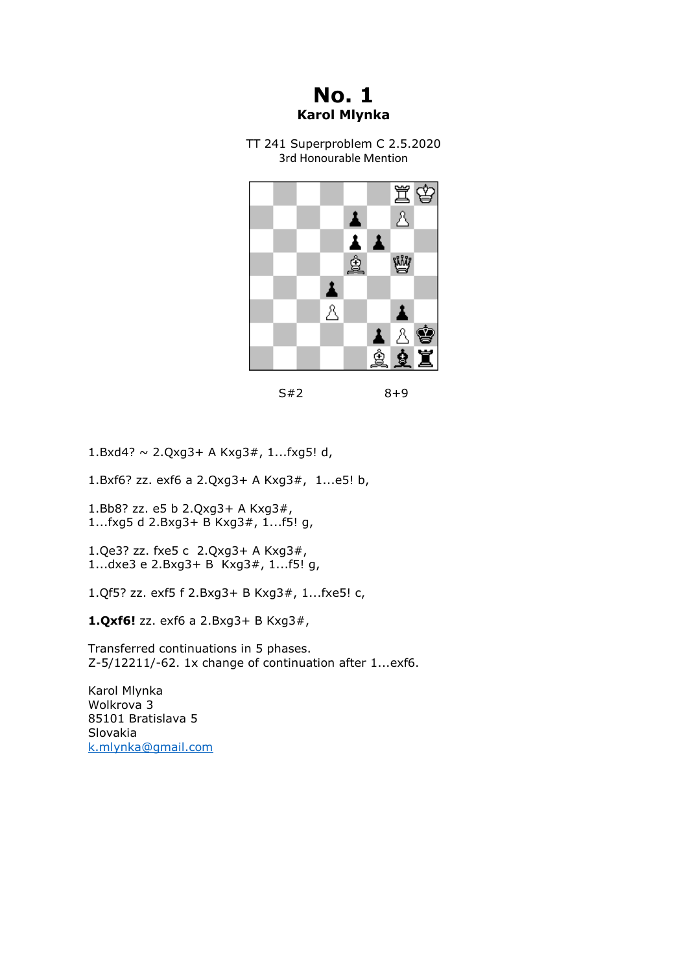## **No. 1 Karol Mlynka**

TT 241 Superproblem C 2.5.2020 3rd Honourable Mention



#### S#2 8+9

 $1.Bxd4? \sim 2.Qxq3+ A Kxq3#, 1...fxq5! d,$ 

1.Bxf6? zz. exf6 a 2.Qxg3+ A Kxg3#, 1...e5! b,

1.Bb8? zz. e5 b 2.Qxg3+ A Kxg3#, 1...fxg5 d 2.Bxg3+ B Kxg3#, 1...f5! g,

1.Qe3? zz. fxe5 c 2.Qxg3+ A Kxg3#, 1...dxe3 e 2.Bxg3+ B Kxg3#, 1...f5! g,

1.Qf5? zz. exf5 f 2.Bxg3+ B Kxg3#, 1...fxe5! c,

**1.Qxf6!** zz. exf6 a 2.Bxg3+ B Kxg3#,

Transferred continuations in 5 phases. Z-5/12211/-62. 1x change of continuation after 1...exf6.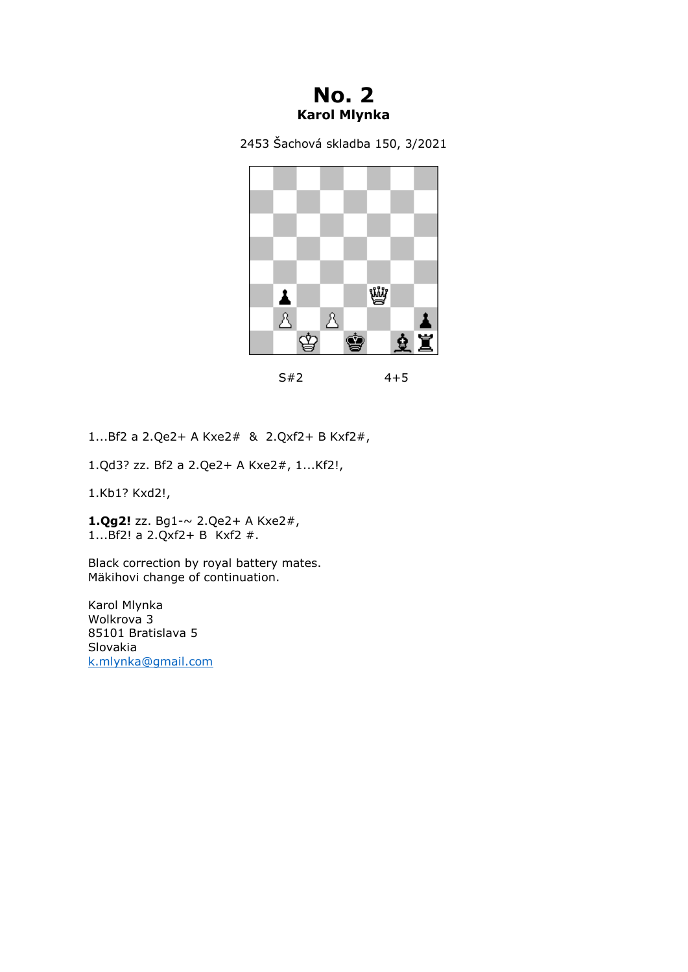### **No. 2 Karol Mlynka**

2453 Šachová skladba 150, 3/2021



1...Bf2 a 2.Qe2+ A Kxe2# & 2.Qxf2+ B Kxf2#,

1.Qd3? zz. Bf2 a 2.Qe2+ A Kxe2#, 1...Kf2!,

1.Kb1? Kxd2!,

**1.Qg2!** zz. Bg1-~ 2.Qe2+ A Kxe2#, 1...Bf2! a 2.Qxf2+ B Kxf2 #.

Black correction by royal battery mates. Mäkihovi change of continuation.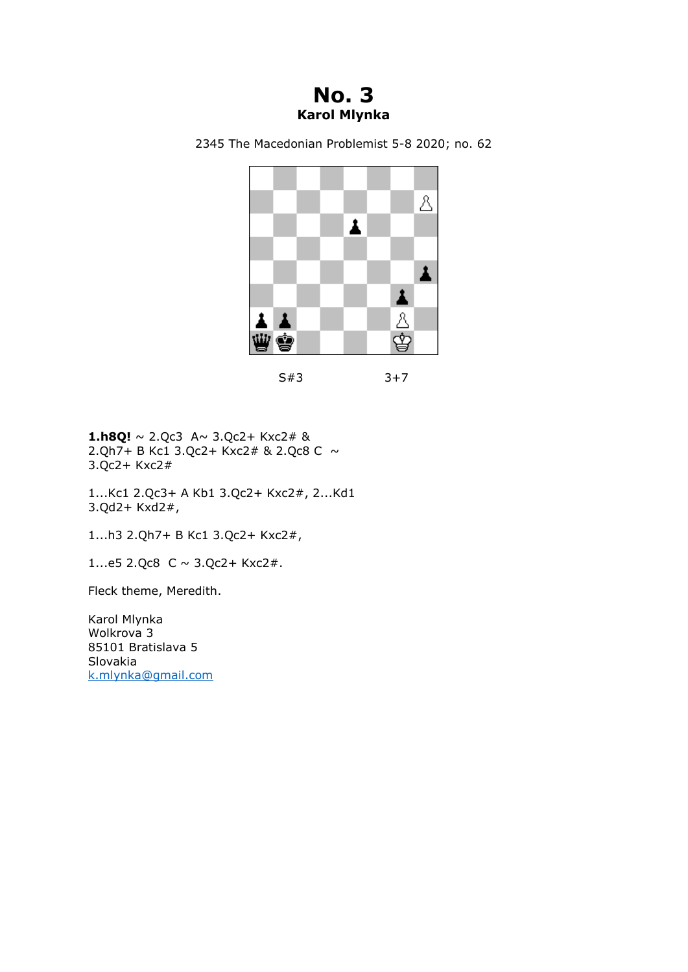# **No. 3 Karol Mlynka**

2345 The Macedonian Problemist 5-8 2020; no. 62



S#3 3+7

**1.h8Q!** ~ 2.Qc3 A~ 3.Qc2+ Kxc2# & 2.Qh7+ B Kc1 3.Qc2+ Kxc2# & 2.Qc8 C ~ 3.Qc2+ Kxc2#

1...Kc1 2.Qc3+ A Kb1 3.Qc2+ Kxc2#, 2...Kd1 3.Qd2+ Kxd2#,

1...h3 2.Qh7+ B Kc1 3.Qc2+ Kxc2#,

1...e5 2.Qc8 C ~ 3.Qc2+ Kxc2#.

Fleck theme, Meredith.